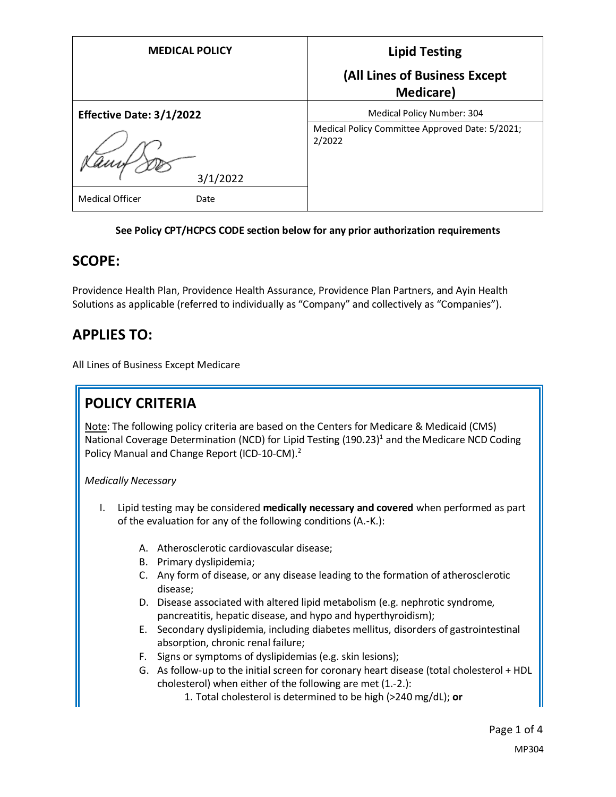| <b>MEDICAL POLICY</b>          | <b>Lipid Testing</b>                                      |
|--------------------------------|-----------------------------------------------------------|
|                                | (All Lines of Business Except<br><b>Medicare</b> )        |
| Effective Date: 3/1/2022       | Medical Policy Number: 304                                |
| 3/1/2022                       | Medical Policy Committee Approved Date: 5/2021;<br>2/2022 |
| <b>Medical Officer</b><br>Date |                                                           |

### **See Policy CPT/HCPCS CODE section below for any prior authorization requirements**

## **SCOPE:**

Providence Health Plan, Providence Health Assurance, Providence Plan Partners, and Ayin Health Solutions as applicable (referred to individually as "Company" and collectively as "Companies").

## **APPLIES TO:**

All Lines of Business Except Medicare

# **POLICY CRITERIA**

Note: The following policy criteria are based on the Centers for Medicare & Medicaid (CMS) National Coverage Determination (NCD) for Lipid Testing  $(190.23)^1$  and the Medicare NCD Coding Policy Manual and Change Report (ICD-10-CM).<sup>2</sup>

#### *Medically Necessary*

- I. Lipid testing may be considered **medically necessary and covered** when performed as part of the evaluation for any of the following conditions (A.-K.):
	- A. Atherosclerotic cardiovascular disease;
	- B. Primary dyslipidemia;
	- C. Any form of disease, or any disease leading to the formation of atherosclerotic disease;
	- D. Disease associated with altered lipid metabolism (e.g. nephrotic syndrome, pancreatitis, hepatic disease, and hypo and hyperthyroidism);
	- E. Secondary dyslipidemia, including diabetes mellitus, disorders of gastrointestinal absorption, chronic renal failure;
	- F. Signs or symptoms of dyslipidemias (e.g. skin lesions);
	- G. As follow-up to the initial screen for coronary heart disease (total cholesterol + HDL cholesterol) when either of the following are met (1.-2.):
		- 1. Total cholesterol is determined to be high (>240 mg/dL); **or**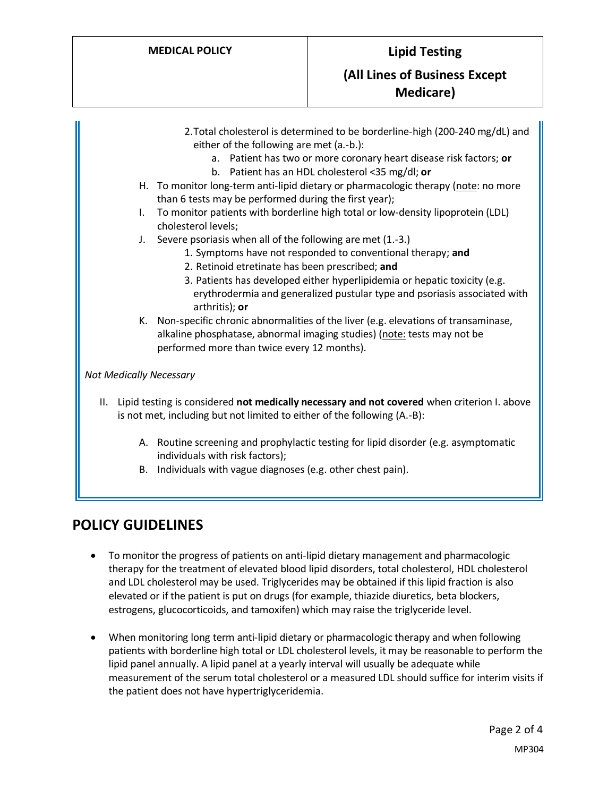- 2.Total cholesterol is determined to be borderline-high (200-240 mg/dL) and either of the following are met (a.-b.):
	- a. Patient has two or more coronary heart disease risk factors; **or**
	- b. Patient has an HDL cholesterol <35 mg/dl; **or**
- H. To monitor long-term anti-lipid dietary or pharmacologic therapy (note: no more than 6 tests may be performed during the first year);
- I. To monitor patients with borderline high total or low-density lipoprotein (LDL) cholesterol levels;
- J. Severe psoriasis when all of the following are met (1.-3.)
	- 1. Symptoms have not responded to conventional therapy; **and**
	- 2. Retinoid etretinate has been prescribed; **and**
	- 3. Patients has developed either hyperlipidemia or hepatic toxicity (e.g. erythrodermia and generalized pustular type and psoriasis associated with arthritis); **or**
- K. Non-specific chronic abnormalities of the liver (e.g. elevations of transaminase, alkaline phosphatase, abnormal imaging studies) (note: tests may not be performed more than twice every 12 months).

*Not Medically Necessary*

- II. Lipid testing is considered **not medically necessary and not covered** when criterion I. above is not met, including but not limited to either of the following (A.-B):
	- A. Routine screening and prophylactic testing for lipid disorder (e.g. asymptomatic individuals with risk factors);
	- B. Individuals with vague diagnoses (e.g. other chest pain).

### **POLICY GUIDELINES**

- To monitor the progress of patients on anti-lipid dietary management and pharmacologic therapy for the treatment of elevated blood lipid disorders, total cholesterol, HDL cholesterol and LDL cholesterol may be used. Triglycerides may be obtained if this lipid fraction is also elevated or if the patient is put on drugs (for example, thiazide diuretics, beta blockers, estrogens, glucocorticoids, and tamoxifen) which may raise the triglyceride level.
- When monitoring long term anti-lipid dietary or pharmacologic therapy and when following patients with borderline high total or LDL cholesterol levels, it may be reasonable to perform the lipid panel annually. A lipid panel at a yearly interval will usually be adequate while measurement of the serum total cholesterol or a measured LDL should suffice for interim visits if the patient does not have hypertriglyceridemia.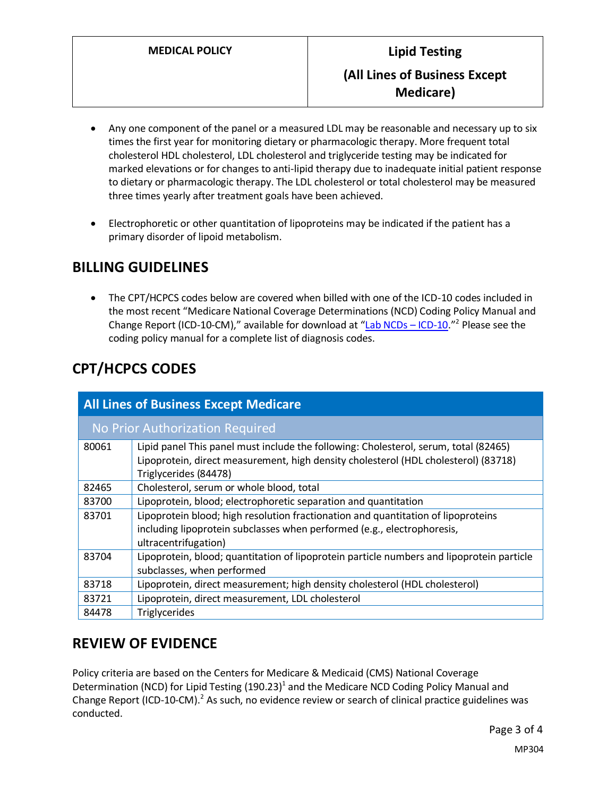- Any one component of the panel or a measured LDL may be reasonable and necessary up to six times the first year for monitoring dietary or pharmacologic therapy. More frequent total cholesterol HDL cholesterol, LDL cholesterol and triglyceride testing may be indicated for marked elevations or for changes to anti-lipid therapy due to inadequate initial patient response to dietary or pharmacologic therapy. The LDL cholesterol or total cholesterol may be measured three times yearly after treatment goals have been achieved.
- Electrophoretic or other quantitation of lipoproteins may be indicated if the patient has a primary disorder of lipoid metabolism.

## **BILLING GUIDELINES**

• The CPT/HCPCS codes below are covered when billed with one of the ICD-10 codes included in the most recent "Medicare National Coverage Determinations (NCD) Coding Policy Manual and Change Report (ICD-10-CM)," available for download at "[Lab NCDs](https://www.cms.gov/Medicare/Coverage/CoverageGenInfo/LabNCDsICD10) - ICD-10."<sup>2</sup> Please see the coding policy manual for a complete list of diagnosis codes.

# **CPT/HCPCS CODES**

| <b>All Lines of Business Except Medicare</b> |                                                                                                                                                                                                      |
|----------------------------------------------|------------------------------------------------------------------------------------------------------------------------------------------------------------------------------------------------------|
| No Prior Authorization Required              |                                                                                                                                                                                                      |
| 80061                                        | Lipid panel This panel must include the following: Cholesterol, serum, total (82465)<br>Lipoprotein, direct measurement, high density cholesterol (HDL cholesterol) (83718)<br>Triglycerides (84478) |
| 82465                                        | Cholesterol, serum or whole blood, total                                                                                                                                                             |
| 83700                                        | Lipoprotein, blood; electrophoretic separation and quantitation                                                                                                                                      |
| 83701                                        | Lipoprotein blood; high resolution fractionation and quantitation of lipoproteins<br>including lipoprotein subclasses when performed (e.g., electrophoresis,<br>ultracentrifugation)                 |
| 83704                                        | Lipoprotein, blood; quantitation of lipoprotein particle numbers and lipoprotein particle<br>subclasses, when performed                                                                              |
| 83718                                        | Lipoprotein, direct measurement; high density cholesterol (HDL cholesterol)                                                                                                                          |
| 83721                                        | Lipoprotein, direct measurement, LDL cholesterol                                                                                                                                                     |
| 84478                                        | <b>Triglycerides</b>                                                                                                                                                                                 |

# **REVIEW OF EVIDENCE**

Policy criteria are based on the Centers for Medicare & Medicaid (CMS) National Coverage Determination (NCD) for Lipid Testing (190.23)<sup>1</sup> and the Medicare NCD Coding Policy Manual and Change Report (ICD-10-CM).<sup>2</sup> As such, no evidence review or search of clinical practice guidelines was conducted.